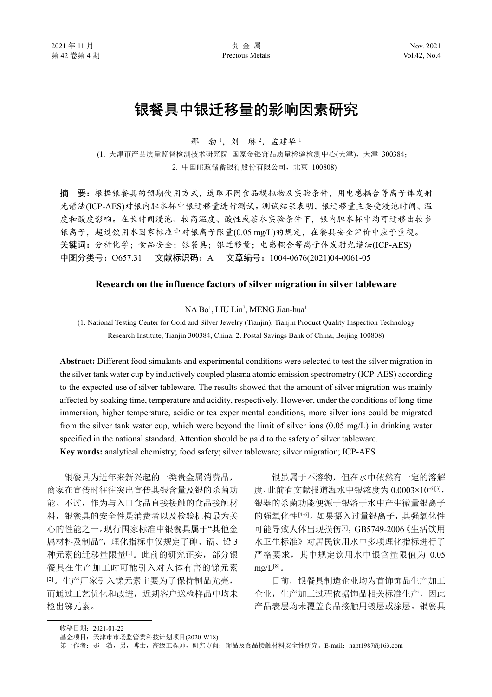# 银餐具中银迁移量的影响因素研究

那 勃1. 刘 琳2. 孟建华1

(1. 天津市产品质量监督检测技术研究院 国家金银饰品质量检验检测中心(天津),天津 300384; 2. 中国邮政储蓄银行股份有限公司,北京 100808)

摘 要:根据银餐具的预期使用方式,选取不同食品模拟物及实验条件,用电感耦合等离子体发射 光谱法(ICP-AES)对银内胆水杯中银迁移量进行测试。测试结果表明,银迁移量主要受浸泡时间、温 度和酸度影响。在长时间浸泡、较高温度、酸性或茶水实验条件下,银内胆水杯中均可迁移出较多 银离子,超过饮用水国家标准中对银离子限量(0.05 mg/L)的规定,在餐具安全评价中应予重视。 关键词:分析化学;食品安全;银餐具;银迁移量;电感耦合等离子体发射光谱法(ICP-AES) 中图分类号:O657.31 文献标识码:A 文章编号:1004-0676(2021)04-0061-05

#### **Research on the influence factors of silver migration in silver tableware**

NA Bo<sup>1</sup>, LIU Lin<sup>2</sup>, MENG Jian-hua<sup>1</sup>

(1. National Testing Center for Gold and Silver Jewelry (Tianjin), Tianjin Product Quality Inspection Technology Research Institute, Tianjin 300384, China; 2. Postal Savings Bank of China, Beijing 100808)

**Abstract:** Different food simulants and experimental conditions were selected to test the silver migration in the silver tank water cup by inductively coupled plasma atomic emission spectrometry (ICP-AES) according to the expected use of silver tableware. The results showed that the amount of silver migration was mainly affected by soaking time, temperature and acidity, respectively. However, under the conditions of long-time immersion, higher temperature, acidic or tea experimental conditions, more silver ions could be migrated from the silver tank water cup, which were beyond the limit of silver ions (0.05 mg/L) in drinking water specified in the national standard. Attention should be paid to the safety of silver tableware. **Key words:** analytical chemistry; food safety; silver tableware; silver migration; ICP-AES

银餐具为近年来新兴起的一类贵金属消费品, 商家在宣传时往往突出宣传其银含量及银的杀菌功 能。不过,作为与入口食品直接接触的食品接触材 料,银餐具的安全性是消费者以及检验机构最为关 心的性能之一。现行国家标准中银餐具属于"其他金 属材料及制品",理化指标中仅规定了砷、镉、铅3 种元素的迁移量限量[1]。此前的研究证实,部分银 餐具在生产加工时可能引入对人体有害的锑元素 [2]。生产厂家引入锑元素主要为了保持制品光亮, 而通过工艺优化和改进,近期客户送检样品中均未 检出锑元素。

银虽属于不溶物,但在水中依然有一定的溶解 度,此前有文献报道海水中银浓度为 0.0003×10<sup>-6[3]</sup>, 银器的杀菌功能便源于银溶于水中产生微量银离子 的强氧化性[4-6]。如果摄入过量银离子,其强氧化性 可能导致人体出现损伤[7],GB5749-2006《生活饮用 水卫生标准》对居民饮用水中多项理化指标进行了 严格要求,其中规定饮用水中银含量限值为 0.05  $mg/L^{[8]}$ 

目前,银餐具制造企业均为首饰饰品生产加工 企业,生产加工过程依据饰品相关标准生产,因此 产品表层均未覆盖食品接触用镀层或涂层。银餐具

收稿日期:2021-01-22

基金项目: 天津市市场监管委科技计划项目(2020-W18)

第一作者: 那 勃, 男, 博士, 高级工程师, 研究方向: 饰品及食品接触材料安全性研究。E-mail: napt1987@163.com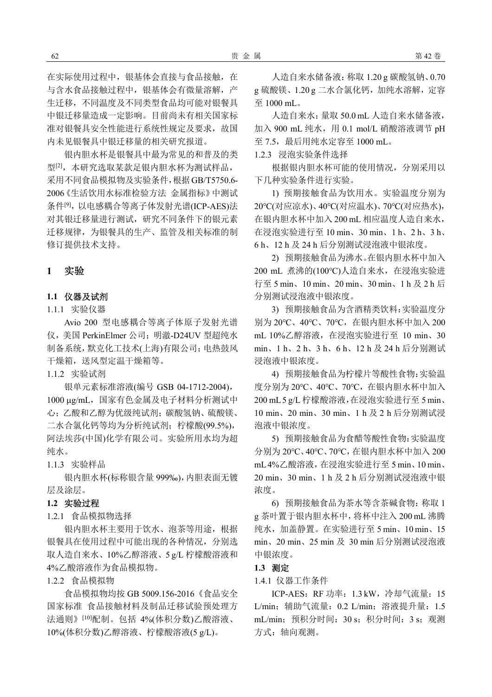在实际使用过程中,银基体会直接与食品接触,在 与含水食品接触过程中,银基体会有微量溶解,产 生迁移,不同温度及不同类型食品均可能对银餐具 中银迁移量造成一定影响。目前尚未有相关国家标 准对银餐具安全性能进行系统性规定及要求,故国 内未见银餐具中银迁移量的相关研究报道。

银内胆水杯是银餐具中最为常见的和普及的类 型[2],本研究选取某款足银内胆水杯为测试样品, 采用不同食品模拟物及实验条件,根据GB/T5750.6- 2006《生活饮用水标准检验方法 金属指标》中测试 条件[9], 以电感耦合等离子体发射光谱(ICP-AES)法 对其银迁移量进行测试,研究不同条件下的银元素 迁移规律,为银餐具的生产、监管及相关标准的制 修订提供技术支持。

# **1** 实验

## **1.1** 仪器及试剂

1.1.1 实验仪器

Avio 200 型电感耦合等离子体原子发射光谱 仪,美国 PerkinElmer 公司;明澈-D24UV 型超纯水 制备系统,默克化工技术(上海)有限公司;电热鼓风 干燥箱,送风型定温干燥箱等。

1.1.2 实验试剂

银单元素标准溶液(编号 GSB 04-1712-2004), 1000 ug/mL, 国家有色金属及电子材料分析测试中 心;乙酸和乙醇为优级纯试剂;碳酸氢钠、硫酸镁、 二水合氯化钙等均为分析纯试剂;柠檬酸(99.5%), 阿法埃莎(中国)化学有限公司。实验所用水均为超 纯水。

1.1.3 实验样品

银内胆水杯(标称银含量 999‰),内胆表面无镀 层及涂层。

#### **1.2** 实验过程

1.2.1 食品模拟物选择

银内胆水杯主要用于饮水、泡茶等用途,根据 银餐具在使用过程中可能出现的各种情况,分别选 取人造自来水、10%乙醇溶液、5 g/L 柠檬酸溶液和 4%乙酸溶液作为食品模拟物。

1.2.2 食品模拟物

食品模拟物均按 GB 5009.156-2016《食品安全 国家标准 食品接触材料及制品迁移试验预处理方 法通则》[10]配制。包括 4%(体积分数)乙酸溶液、 10%(体积分数)乙醇溶液、柠檬酸溶液(5 g/L)。

人造自来水储备液:称取 1.20 g 碳酸氢钠、0.70 g 硫酸镁、1.20 g 二水合氯化钙,加纯水溶解,定容 至 1000 mL。

人造自来水:量取 50.0 mL 人造自来水储备液, 加入 900 mL 纯水, 用 0.1 mol/L 硝酸溶液调节 pH 至 7.5,最后用纯水定容至 1000 mL。

1.2.3 浸泡实验条件选择

根据银内胆水杯可能的使用情况,分别采用以 下几种实验条件进行实验。

1) 预期接触食品为饮用水。实验温度分别为 20℃(对应凉水)、40℃(对应温水)、70℃(对应热水), 在银内胆水杯中加入 200 mL 相应温度人造自来水, 在浸泡实验进行至 10 min、30 min、1 h、2 h、3 h、 6 h、12 h 及 24 h 后分别测试浸泡液中银浓度。

2) 预期接触食品为沸水。在银内胆水杯中加入 200 mL 煮沸的(100℃)人造自来水,在浸泡实验进 行至 5 min、10 min、20 min、30 min、1 h 及 2 h 后 分别测试浸泡液中银浓度。

3) 预期接触食品为含酒精类饮料:实验温度分 别为 20℃、40℃、70℃,在银内胆水杯中加入 200 mL 10%乙醇溶液,在浸泡实验进行至 10 min、30 min、1 h、2 h、3 h、6 h、12 h 及 24 h 后分别测试 浸泡液中银浓度。

4) 预期接触食品为柠檬片等酸性食物:实验温 度分别为 20℃、40℃、70℃,在银内胆水杯中加入 200 mL 5 g/L 柠檬酸溶液,在浸泡实验进行至 5 min、 10 min、20 min、30 min、1 h 及 2 h 后分别测试浸 泡液中银浓度。

5) 预期接触食品为食醋等酸性食物:实验温度 分别为 20℃、40℃、70℃,在银内胆水杯中加入 200 mL 4%乙酸溶液,在浸泡实验进行至 5 min、10 min、 20 min、30 min、1 h 及 2 h 后分别测试浸泡液中银 浓度。

6) 预期接触食品为茶水等含茶碱食物:称取 1 g 茶叶置于银内胆水杯中,将杯中注入 200 mL 沸腾 纯水,加盖静置。在实验进行至 5 min、10 min、15 min、20 min、25 min 及 30 min 后分别测试浸泡液 中银浓度。

# **1.3** 测定

1.4.1 仪器工作条件

ICP-AES:RF 功率:1.3 kW,冷却气流量:15 L/min;辅助气流量:0.2 L/min;溶液提升量:1.5 mL/min;预积分时间:30 s;积分时间:3 s;观测 方式:轴向观测。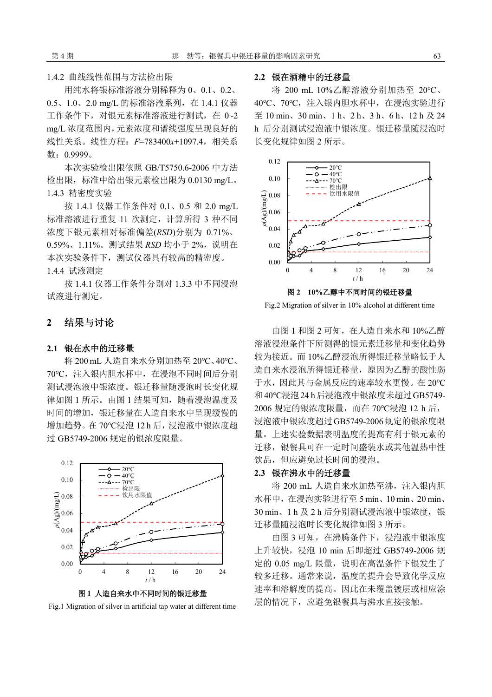1.4.2 曲线线性范围与方法检出限

用纯水将银标准溶液分别稀释为 0、0.1、0.2、 0.5、1.0、2.0 mg/L 的标准溶液系列,在 1.4.1 仪器 工作条件下,对银元素标准溶液进行测试,在 0~2 mg/L 浓度范围内,元素浓度和谱线强度呈现良好的 线性关系。线性方程:*F*=783400*x*+1097.4,相关系 数:0.9999。

本次实验检出限依照 GB/T5750.6-2006 中方法 检出限,标准中给出银元素检出限为 0.0130 mg/L。 1.4.3 精密度实验

按 1.4.1 仪器工作条件对 0.1、0.5 和 2.0 mg/L 标准溶液进行重复 11 次测定,计算所得 3 种不同 浓度下银元素相对标准偏差(*RSD*)分别为 0.71%、 0.59%、1.11%。测试结果 RSD 均小于 2%, 说明在 本次实验条件下,测试仪器具有较高的精密度。 1.4.4 试液测定

按 1.4.1 仪器工作条件分别对 1.3.3 中不同浸泡 试液进行测定。

# **2** 结果与讨论

#### **2.1** 银在水中的迁移量

将 200 mL 人造自来水分别加热至 20℃、40℃、 70℃,注入银内胆水杯中,在浸泡不同时间后分别 测试浸泡液中银浓度。银迁移量随浸泡时长变化规 律如图 1 所示。由图 1 结果可知, 随着浸泡温度及 时间的增加,银迁移量在人造自来水中呈现缓慢的 增加趋势。在 70℃浸泡 12 h 后,浸泡液中银浓度超 过 GB5749-2006 规定的银浓度限量。



图 **1** 人造自来水中不同时间的银迁移量

Fig.1 Migration of silver in artificial tap water at different time

## **2.2** 银在酒精中的迁移量

将 200 mL 10%乙醇溶液分别加热至 20℃、 40℃、70℃,注入银内胆水杯中,在浸泡实验进行 至 10 min、30 min、1 h、2 h、3 h、6 h、12 h 及 24 h 后分别测试浸泡液中银浓度。银迁移量随浸泡时 长变化规律如图 2 所示。



Fig.2 Migration of silver in 10% alcohol at different time

由图 1 和图 2 可知,在人造自来水和 10%乙醇 溶液浸泡条件下所测得的银元素迁移量和变化趋势 较为接近。而 10%乙醇浸泡所得银迁移量略低于人 造自来水浸泡所得银迁移量,原因为乙醇的酸性弱 于水,因此其与金属反应的速率较水更慢。在 20℃ 和40℃浸泡24 h后浸泡液中银浓度未超过GB5749- 2006 规定的银浓度限量,而在 70℃浸泡 12 h 后, 浸泡液中银浓度超过GB5749-2006规定的银浓度限 量。上述实验数据表明温度的提高有利于银元素的 迁移,银餐具可在一定时间盛装水或其他温热中性 饮品,但应避免过长时间的浸泡。

#### **2.3** 银在沸水中的迁移量

将 200 mL 人造自来水加热至沸, 注入银内胆 水杯中,在浸泡实验进行至 5 min、10 min、20 min、 30 min、1 h 及 2 h 后分别测试浸泡液中银浓度, 银 迁移量随浸泡时长变化规律如图 3 所示。

由图 3 可知,在沸腾条件下,浸泡液中银浓度 上升较快,浸泡 10 min 后即超过 GB5749-2006 规 定的 0.05 mg/L 限量, 说明在高温条件下银发生了 较多迁移。通常来说,温度的提升会导致化学反应 速率和溶解度的提高。因此在未覆盖镀层或相应涂 层的情况下,应避免银餐具与沸水直接接触。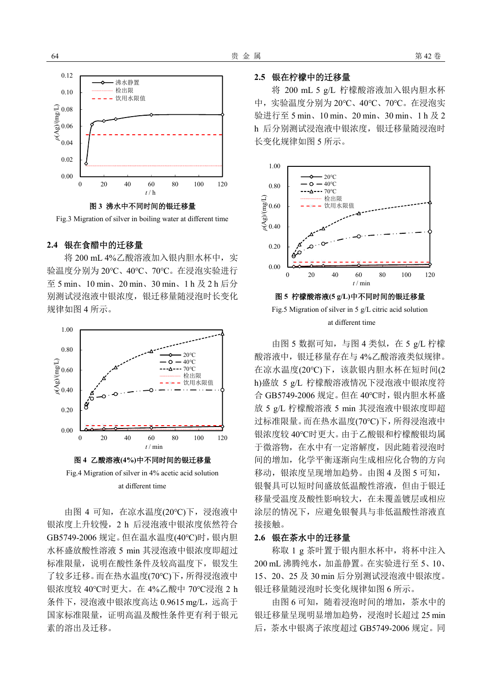

图 **3** 沸水中不同时间的银迁移量

Fig.3 Migration of silver in boiling water at different time

#### **2.4** 银在食醋中的迁移量

将 200 mL 4%乙酸溶液加入银内胆水杯中,实 验温度分别为 20℃、40℃、70℃。在浸泡实验进行 至 5 min、10 min、20 min、30 min、1 h 及 2 h 后分 别测试浸泡液中银浓度,银迁移量随浸泡时长变化 规律如图 4 所示。



at different time

由图 4 可知,在凉水温度(20℃)下,浸泡液中 银浓度上升较慢,2 h 后浸泡液中银浓度依然符合 GB5749-2006 规定。但在温水温度(40℃)时,银内胆 水杯盛放酸性溶液 5 min 其浸泡液中银浓度即超过 标准限量,说明在酸性条件及较高温度下,银发生 了较多迁移。而在热水温度(70℃)下,所得浸泡液中 银浓度较 40℃时更大。在 4%乙酸中 70℃浸泡 2 h 条件下,浸泡液中银浓度高达 0.9615 mg/L,远高于 国家标准限量,证明高温及酸性条件更有利于银元 素的溶出及迁移。

# **2.5** 银在柠檬中的迁移量

将 200 mL 5 g/L 柠檬酸溶液加入银内胆水杯 中,实验温度分别为 20℃、40℃、70℃。在浸泡实 验进行至 5 min、10 min、20 min、30 min、1 h 及 2 h 后分别测试浸泡液中银浓度,银迁移量随浸泡时 长变化规律如图 5 所示。



Fig.5 Migration of silver in 5 g/L citric acid solution at different time

由图 5 数据可知, 与图 4 类似, 在 5 g/L 柠檬 酸溶液中,银迁移量存在与 4%乙酸溶液类似规律。 在凉水温度(20℃)下,该款银内胆水杯在短时间(2 h)盛放 5 g/L 柠檬酸溶液情况下浸泡液中银浓度符 合 GB5749-2006 规定。但在 40℃时,银内胆水杯盛 放 5 g/L 柠檬酸溶液 5 min 其浸泡液中银浓度即超 过标准限量。而在热水温度(70℃)下,所得浸泡液中 银浓度较 40℃时更大。由于乙酸银和柠檬酸银均属 于微溶物,在水中有一定溶解度,因此随着浸泡时 间的增加,化学平衡逐渐向生成相应化合物的方向 移动,银浓度呈现增加趋势。由图 4 及图 5 可知, 银餐具可以短时间盛放低温酸性溶液,但由于银迁 移量受温度及酸性影响较大,在未覆盖镀层或相应 涂层的情况下,应避免银餐具与非低温酸性溶液直 接接触。

#### **2.6** 银在茶水中的迁移量

称取 1 g 茶叶置于银内胆水杯中,将杯中注入 200 mL 沸腾纯水,加盖静置。在实验进行至 5、10、 15、20、25 及 30 min 后分别测试浸泡液中银浓度。 银迁移量随浸泡时长变化规律如图 6 所示。

由图 6 可知,随着浸泡时间的增加,茶水中的 银迁移量呈现明显增加趋势, 浸泡时长超过 25 min 后,茶水中银离子浓度超过 GB5749-2006 规定。同